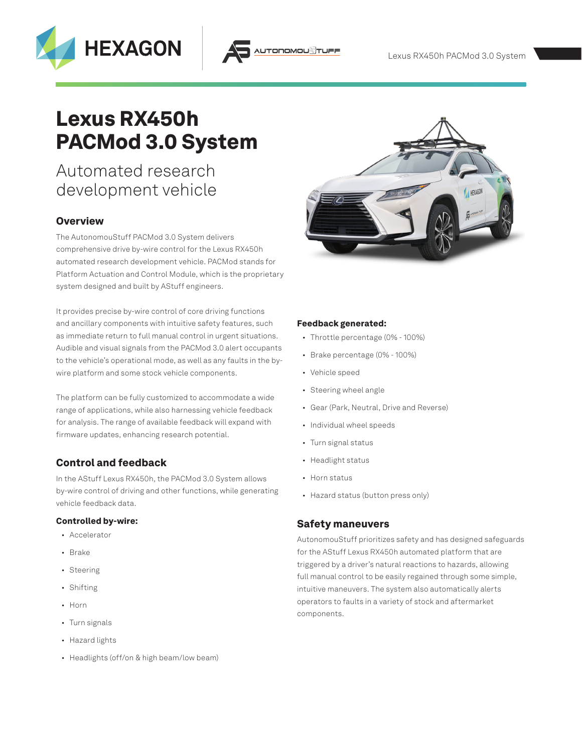# Lexus RX450h PACMod 3.0 System

# Automated research development vehicle

**HEXAGON** 

## **Overview**

The AutonomouStuff PACMod 3.0 System delivers comprehensive drive by-wire control for the Lexus RX450h automated research development vehicle. PACMod stands for Platform Actuation and Control Module, which is the proprietary system designed and built by AStuff engineers.

It provides precise by-wire control of core driving functions and ancillary components with intuitive safety features, such as immediate return to full manual control in urgent situations. Audible and visual signals from the PACMod 3.0 alert occupants to the vehicle's operational mode, as well as any faults in the bywire platform and some stock vehicle components.

The platform can be fully customized to accommodate a wide range of applications, while also harnessing vehicle feedback for analysis. The range of available feedback will expand with firmware updates, enhancing research potential.

# Control and feedback

In the AStuff Lexus RX450h, the PACMod 3.0 System allows by-wire control of driving and other functions, while generating vehicle feedback data.

#### Controlled by-wire:

- Accelerator
- Brake
- Steering
- Shifting
- Horn
- Turn signals
- Hazard lights
- Headlights (off/on & high beam/low beam)



#### Feedback generated:

TODOMOU<sup>8</sup>

- Throttle percentage (0% 100%)
- Brake percentage (0% 100%)
- Vehicle speed
- Steering wheel angle
- Gear (Park, Neutral, Drive and Reverse)
- Individual wheel speeds
- Turn signal status
- Headlight status
- Horn status
- Hazard status (button press only)

#### Safety maneuvers

AutonomouStuff prioritizes safety and has designed safeguards for the AStuff Lexus RX450h automated platform that are triggered by a driver's natural reactions to hazards, allowing full manual control to be easily regained through some simple, intuitive maneuvers. The system also automatically alerts operators to faults in a variety of stock and aftermarket components.